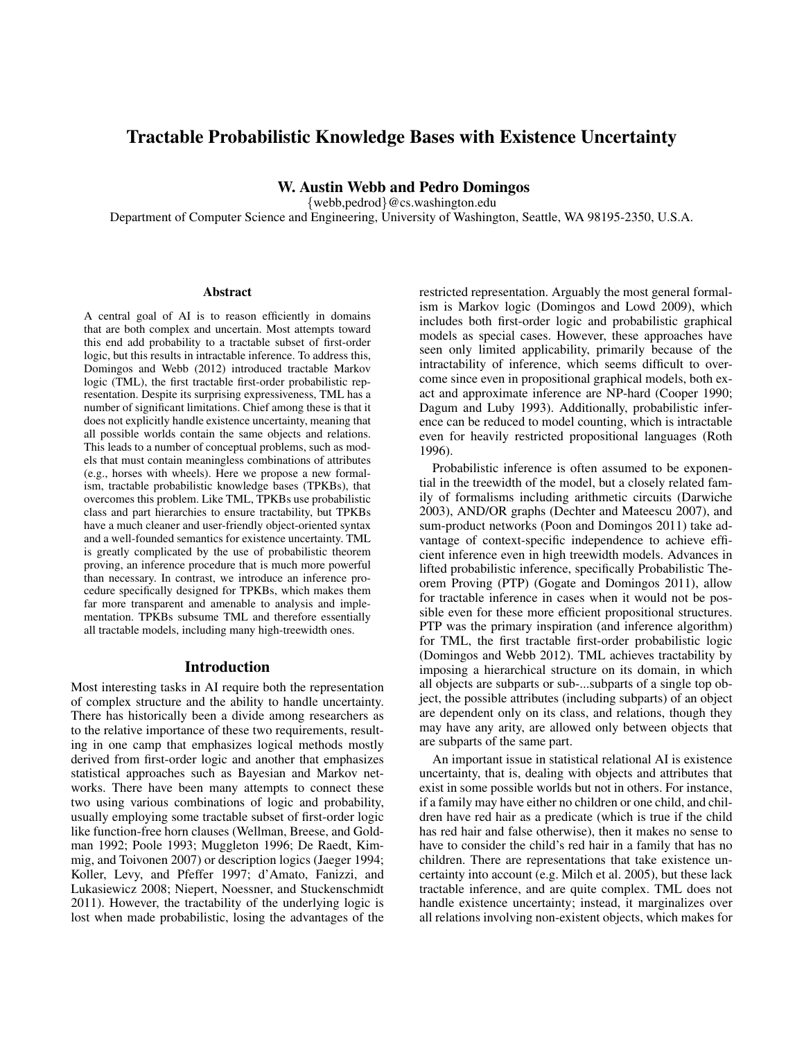# Tractable Probabilistic Knowledge Bases with Existence Uncertainty

W. Austin Webb and Pedro Domingos

{webb,pedrod}@cs.washington.edu

Department of Computer Science and Engineering, University of Washington, Seattle, WA 98195-2350, U.S.A.

#### **Abstract**

A central goal of AI is to reason efficiently in domains that are both complex and uncertain. Most attempts toward this end add probability to a tractable subset of first-order logic, but this results in intractable inference. To address this, Domingos and Webb (2012) introduced tractable Markov logic (TML), the first tractable first-order probabilistic representation. Despite its surprising expressiveness, TML has a number of significant limitations. Chief among these is that it does not explicitly handle existence uncertainty, meaning that all possible worlds contain the same objects and relations. This leads to a number of conceptual problems, such as models that must contain meaningless combinations of attributes (e.g., horses with wheels). Here we propose a new formalism, tractable probabilistic knowledge bases (TPKBs), that overcomes this problem. Like TML, TPKBs use probabilistic class and part hierarchies to ensure tractability, but TPKBs have a much cleaner and user-friendly object-oriented syntax and a well-founded semantics for existence uncertainty. TML is greatly complicated by the use of probabilistic theorem proving, an inference procedure that is much more powerful than necessary. In contrast, we introduce an inference procedure specifically designed for TPKBs, which makes them far more transparent and amenable to analysis and implementation. TPKBs subsume TML and therefore essentially all tractable models, including many high-treewidth ones.

#### Introduction

Most interesting tasks in AI require both the representation of complex structure and the ability to handle uncertainty. There has historically been a divide among researchers as to the relative importance of these two requirements, resulting in one camp that emphasizes logical methods mostly derived from first-order logic and another that emphasizes statistical approaches such as Bayesian and Markov networks. There have been many attempts to connect these two using various combinations of logic and probability, usually employing some tractable subset of first-order logic like function-free horn clauses (Wellman, Breese, and Goldman 1992; Poole 1993; Muggleton 1996; De Raedt, Kimmig, and Toivonen 2007) or description logics (Jaeger 1994; Koller, Levy, and Pfeffer 1997; d'Amato, Fanizzi, and Lukasiewicz 2008; Niepert, Noessner, and Stuckenschmidt 2011). However, the tractability of the underlying logic is lost when made probabilistic, losing the advantages of the

restricted representation. Arguably the most general formalism is Markov logic (Domingos and Lowd 2009), which includes both first-order logic and probabilistic graphical models as special cases. However, these approaches have seen only limited applicability, primarily because of the intractability of inference, which seems difficult to overcome since even in propositional graphical models, both exact and approximate inference are NP-hard (Cooper 1990; Dagum and Luby 1993). Additionally, probabilistic inference can be reduced to model counting, which is intractable even for heavily restricted propositional languages (Roth 1996).

Probabilistic inference is often assumed to be exponential in the treewidth of the model, but a closely related family of formalisms including arithmetic circuits (Darwiche 2003), AND/OR graphs (Dechter and Mateescu 2007), and sum-product networks (Poon and Domingos 2011) take advantage of context-specific independence to achieve efficient inference even in high treewidth models. Advances in lifted probabilistic inference, specifically Probabilistic Theorem Proving (PTP) (Gogate and Domingos 2011), allow for tractable inference in cases when it would not be possible even for these more efficient propositional structures. PTP was the primary inspiration (and inference algorithm) for TML, the first tractable first-order probabilistic logic (Domingos and Webb 2012). TML achieves tractability by imposing a hierarchical structure on its domain, in which all objects are subparts or sub-...subparts of a single top object, the possible attributes (including subparts) of an object are dependent only on its class, and relations, though they may have any arity, are allowed only between objects that are subparts of the same part.

An important issue in statistical relational AI is existence uncertainty, that is, dealing with objects and attributes that exist in some possible worlds but not in others. For instance, if a family may have either no children or one child, and children have red hair as a predicate (which is true if the child has red hair and false otherwise), then it makes no sense to have to consider the child's red hair in a family that has no children. There are representations that take existence uncertainty into account (e.g. Milch et al. 2005), but these lack tractable inference, and are quite complex. TML does not handle existence uncertainty; instead, it marginalizes over all relations involving non-existent objects, which makes for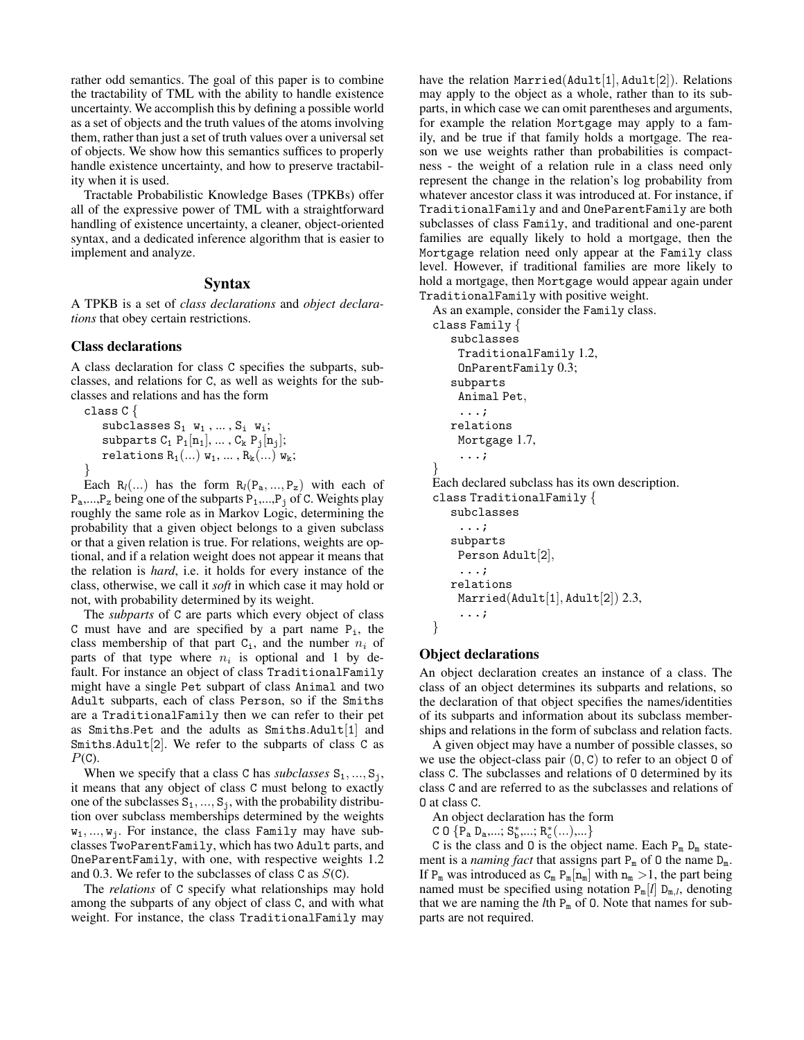rather odd semantics. The goal of this paper is to combine the tractability of TML with the ability to handle existence uncertainty. We accomplish this by defining a possible world as a set of objects and the truth values of the atoms involving them, rather than just a set of truth values over a universal set of objects. We show how this semantics suffices to properly handle existence uncertainty, and how to preserve tractability when it is used.

Tractable Probabilistic Knowledge Bases (TPKBs) offer all of the expressive power of TML with a straightforward handling of existence uncertainty, a cleaner, object-oriented syntax, and a dedicated inference algorithm that is easier to implement and analyze.

#### Syntax

A TPKB is a set of *class declarations* and *object declarations* that obey certain restrictions.

# Class declarations

A class declaration for class C specifies the subparts, subclasses, and relations for C, as well as weights for the subclasses and relations and has the form

class C { subclasses  $S_1$   $w_1$ , ...,  $S_i$   $w_i$ ; subparts  $C_1$   $P_1[n_1], \ldots, C_k$   $P_j[n_j];$ relations  $R_1(\ldots)$   $w_1, \ldots, R_k(\ldots)$   $w_k$ ; }

Each  $R_l(...)$  has the form  $R_l(P_a,...,P_z)$  with each of  $P_a,...,P_z$  being one of the subparts  $P_1,...,P_j$  of C. Weights play roughly the same role as in Markov Logic, determining the probability that a given object belongs to a given subclass or that a given relation is true. For relations, weights are optional, and if a relation weight does not appear it means that the relation is *hard*, i.e. it holds for every instance of the class, otherwise, we call it *soft* in which case it may hold or not, with probability determined by its weight.

The *subparts* of C are parts which every object of class C must have and are specified by a part name  $P_i$ , the class membership of that part  $C_i$ , and the number  $n_i$  of parts of that type where  $n_i$  is optional and 1 by default. For instance an object of class TraditionalFamily might have a single Pet subpart of class Animal and two Adult subparts, each of class Person, so if the Smiths are a TraditionalFamily then we can refer to their pet as Smiths.Pet and the adults as Smiths.Adult $[1]$  and Smiths.Adult<sup>[2]</sup>. We refer to the subparts of class  $C$  as  $P(C)$ .

When we specify that a class C has *subclasses*  $S_1, ..., S_j$ , it means that any object of class C must belong to exactly one of the subclasses  $S_1, ..., S_j$ , with the probability distribution over subclass memberships determined by the weights  $w_1, \ldots, w_j$ . For instance, the class Family may have subclasses TwoParentFamily, which has two Adult parts, and OneParentFamily, with one, with respective weights 1.2 and 0.3. We refer to the subclasses of class C as  $S(C)$ .

The *relations* of C specify what relationships may hold among the subparts of any object of class C, and with what weight. For instance, the class TraditionalFamily may have the relation Married(Adult[1], Adult[2]). Relations may apply to the object as a whole, rather than to its subparts, in which case we can omit parentheses and arguments, for example the relation Mortgage may apply to a family, and be true if that family holds a mortgage. The reason we use weights rather than probabilities is compactness - the weight of a relation rule in a class need only represent the change in the relation's log probability from whatever ancestor class it was introduced at. For instance, if TraditionalFamily and and OneParentFamily are both subclasses of class Family, and traditional and one-parent families are equally likely to hold a mortgage, then the Mortgage relation need only appear at the Family class level. However, if traditional families are more likely to hold a mortgage, then Mortgage would appear again under TraditionalFamily with positive weight.

As an example, consider the Family class.

```
class Family {
   subclasses
    TraditionalFamily 1.2,
    OnParentFamily 0.3;
   subparts
    Animal Pet,
     ...;
   relations
    Mortgage 1.7,
    ...;
}
Each declared subclass has its own description.
class TraditionalFamily {
   subclasses
    ...;
   subparts
    Person Adult[2],
    ...;
   relations
    Married(Adult[1], Adult[2]) 2.3,
    ...;
}
```
### Object declarations

An object declaration creates an instance of a class. The class of an object determines its subparts and relations, so the declaration of that object specifies the names/identities of its subparts and information about its subclass memberships and relations in the form of subclass and relation facts.

A given object may have a number of possible classes, so we use the object-class pair  $(0, C)$  to refer to an object 0 of class C. The subclasses and relations of O determined by its class C and are referred to as the subclasses and relations of O at class C.

An object declaration has the form

 $C \bigcup \{ P_a D_a, \ldots; S_b^*, \ldots; R_c^*(\ldots), \ldots \}$ 

C is the class and 0 is the object name. Each  $P_m D_m$  statement is a *naming fact* that assigns part  $P_m$  of 0 the name  $D_m$ . If  $P_m$  was introduced as  $C_m$   $P_m[n_m]$  with  $n_m > 1$ , the part being named must be specified using notation  $P_m[l] D_{m,l}$ , denoting that we are naming the  $l$ th  $P_m$  of 0. Note that names for subparts are not required.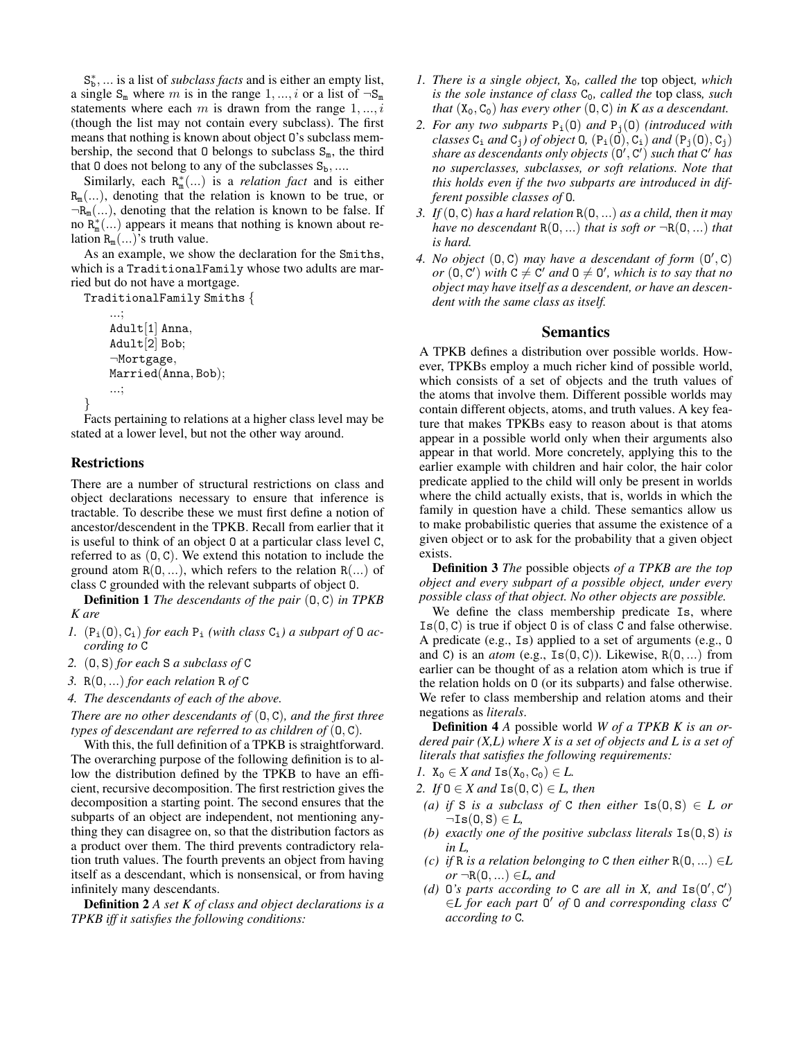S<sup>\*</sup><sub>b</sub>, ... is a list of *subclass facts* and is either an empty list, a single  $S_m$  where m is in the range 1, ..., i or a list of  $\neg S_m$ statements where each  $m$  is drawn from the range  $1, ..., i$ (though the list may not contain every subclass). The first means that nothing is known about object O's subclass membership, the second that 0 belongs to subclass  $S_m$ , the third that 0 does not belong to any of the subclasses  $S_b$ , ....

Similarly, each  $R_m^*(...)$  is a *relation fact* and is either  $R_m(...)$ , denoting that the relation is known to be true, or  $\neg R_m(...)$ , denoting that the relation is known to be false. If no  $R_m^*(...)$  appears it means that nothing is known about relation  $R_m(\ldots)$ 's truth value.

As an example, we show the declaration for the Smiths, which is a TraditionalFamily whose two adults are married but do not have a mortgage.

TraditionalFamily Smiths {

```
...;
Adult[1] Anna,
Adult[2] Bob;
¬Mortgage,
Married(Anna, Bob);
...;
```
Facts pertaining to relations at a higher class level may be stated at a lower level, but not the other way around.

### Restrictions

}

There are a number of structural restrictions on class and object declarations necessary to ensure that inference is tractable. To describe these we must first define a notion of ancestor/descendent in the TPKB. Recall from earlier that it is useful to think of an object O at a particular class level C, referred to as  $(0, C)$ . We extend this notation to include the ground atom  $R(0, \ldots)$ , which refers to the relation  $R(\ldots)$  of class C grounded with the relevant subparts of object O.

Definition 1 *The descendants of the pair* (O, C) *in TPKB K are*

- *1.*  $(P_i(0), C_i)$  *for each*  $P_i$  *(with class*  $C_i$ *) a subpart of* 0 *according to* C
- *2.* (O, S) *for each* S *a subclass of* C
- *3.* R(O, ...) *for each relation* R *of* C
- *4. The descendants of each of the above.*

*There are no other descendants of* (O, C)*, and the first three types of descendant are referred to as children of* (O, C)*.*

With this, the full definition of a TPKB is straightforward. The overarching purpose of the following definition is to allow the distribution defined by the TPKB to have an efficient, recursive decomposition. The first restriction gives the decomposition a starting point. The second ensures that the subparts of an object are independent, not mentioning anything they can disagree on, so that the distribution factors as a product over them. The third prevents contradictory relation truth values. The fourth prevents an object from having itself as a descendant, which is nonsensical, or from having infinitely many descendants.

Definition 2 *A set K of class and object declarations is a TPKB iff it satisfies the following conditions:*

- *1. There is a single object,*  $X_0$ *, called the top object, which is the sole instance of class*  $C_0$ *, called the top class, such that*  $(X_0, C_0)$  *has every other*  $(0, C)$  *in K as a descendant.*
- 2. For any two subparts  $P_i(0)$  and  $P_i(0)$  *(introduced with classes*  $C_i$  *and*  $C_j$ *) of object* **0***,*  $(P_i(0), C_i)$  *and*  $(P_i(0), C_j)$ share as descendants only objects (0', C') such that C<sup>'</sup> has *no superclasses, subclasses, or soft relations. Note that this holds even if the two subparts are introduced in different possible classes of* O*.*
- *3. If* (O, C) *has a hard relation* R(O, ...) *as a child, then it may have no descendant*  $R(0, \ldots)$  *that is soft or*  $\neg R(0, \ldots)$  *that is hard.*
- 4. No object  $(0, C)$  may have a descendant of form  $(0', C)$ *or*  $(0, C')$  *with*  $C \neq C'$  *and*  $0 \neq 0'$ *, which is to say that no object may have itself as a descendent, or have an descendent with the same class as itself.*

## Semantics

A TPKB defines a distribution over possible worlds. However, TPKBs employ a much richer kind of possible world, which consists of a set of objects and the truth values of the atoms that involve them. Different possible worlds may contain different objects, atoms, and truth values. A key feature that makes TPKBs easy to reason about is that atoms appear in a possible world only when their arguments also appear in that world. More concretely, applying this to the earlier example with children and hair color, the hair color predicate applied to the child will only be present in worlds where the child actually exists, that is, worlds in which the family in question have a child. These semantics allow us to make probabilistic queries that assume the existence of a given object or to ask for the probability that a given object exists.

Definition 3 *The* possible objects *of a TPKB are the top object and every subpart of a possible object, under every possible class of that object. No other objects are possible.*

We define the class membership predicate Is, where  $Is(0, C)$  is true if object 0 is of class C and false otherwise. A predicate (e.g., Is) applied to a set of arguments (e.g., O and C) is an *atom* (e.g.,  $Is(0, C)$ ). Likewise,  $R(0, \ldots)$  from earlier can be thought of as a relation atom which is true if the relation holds on O (or its subparts) and false otherwise. We refer to class membership and relation atoms and their negations as *literals*.

Definition 4 *A* possible world *W of a TPKB K is an ordered pair (X,L) where X is a set of objects and L is a set of literals that satisfies the following requirements:*

- *1.*  $X_0 \in X$  and  $Is(X_0, C_0) \in L$ .
- *2. If*  $0 \in X$  *and*  $Is(0, C) \in L$ *, then* 
	- *(a)* if S is a subclass of C then either  $Is(0, S) \in L$  or  $\neg Is(0, S) \in L$
	- *(b) exactly one of the positive subclass literals* Is(O, S) *is in L,*
- *(c) if* R *is a relation belonging to* C *then either*  $R(0, ...) \in L$  $or \neg R(0,...) \in L$ , and
- (d)  $0$ 's parts according to  $C$  are all in X, and  $Is(0', C')$ ∈*L for each part* O <sup>0</sup> *of* O *and corresponding class* C 0 *according to* C*.*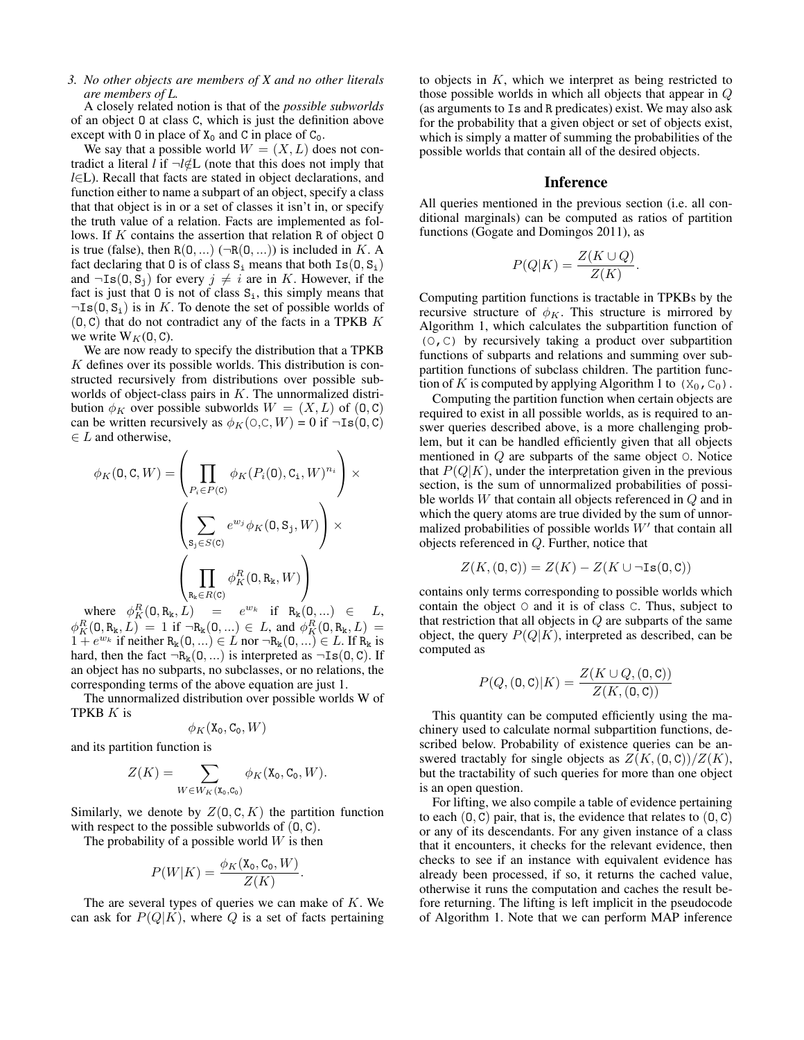### *3. No other objects are members of X and no other literals are members of L.*

A closely related notion is that of the *possible subworlds* of an object O at class C, which is just the definition above except with 0 in place of  $X_0$  and C in place of  $C_0$ .

We say that a possible world  $W = (X, L)$  does not contradict a literal *l* if  $\neg l \notin L$  (note that this does not imply that *l*∈L). Recall that facts are stated in object declarations, and function either to name a subpart of an object, specify a class that that object is in or a set of classes it isn't in, or specify the truth value of a relation. Facts are implemented as follows. If K contains the assertion that relation R of object 0 is true (false), then  $R(0, ...)$  ( $\neg R(0, ...)$ ) is included in K. A fact declaring that 0 is of class  $S_i$  means that both  $Is(0, S_i)$ and  $\neg \text{Is}(0, S_i)$  for every  $j \neq i$  are in K. However, if the fact is just that  $\theta$  is not of class  $S_i$ , this simply means that  $\neg Is(0, S_i)$  is in K. To denote the set of possible worlds of  $(0, C)$  that do not contradict any of the facts in a TPKB K we write  $W_K(0, C)$ .

We are now ready to specify the distribution that a TPKB  $K$  defines over its possible worlds. This distribution is constructed recursively from distributions over possible subworlds of object-class pairs in K. The unnormalized distribution  $\phi_K$  over possible subworlds  $W = (X, L)$  of  $(0, C)$ can be written recursively as  $\phi_K(\varphi, \varphi, W) = 0$  if  $\neg \text{Is}(0, \varphi)$  $\in L$  and otherwise,

$$
\phi_K(\mathbf{0}, \mathbf{C}, W) = \left(\prod_{P_i \in P(\mathbf{C})} \phi_K(P_i(\mathbf{0}), \mathbf{C}_i, W)^{n_i}\right) \times \left(\sum_{\mathbf{S}_j \in S(\mathbf{C})} e^{w_j} \phi_K(\mathbf{0}, \mathbf{S}_j, W)\right) \times \left(\prod_{\mathbf{R}_k \in R(\mathbf{C})} \phi_K^R(\mathbf{0}, \mathbf{R}_k, W)\right)
$$

where  $\phi_K^R(\mathbf{0}, \mathbf{R_k}, L) = e^{w_k}$  if  $\mathbf{R_k}(\mathbf{0}, \ldots) \in L$ ,  $\phi_K^R(0, R_k, L) = 1$  if  $\neg R_k(0, ...) \in L$ , and  $\phi_K^R(0, R_k, L) =$  $1 + e^{w_k}$  if neither  $R_k(0, ...) \in L$  nor  $\neg R_k(0, ...) \in L$ . If  $R_k$  is hard, then the fact  $\neg R_k(0, ...)$  is interpreted as  $\neg Is(0, C)$ . If an object has no subparts, no subclasses, or no relations, the corresponding terms of the above equation are just 1.

The unnormalized distribution over possible worlds W of TPKB K is

$$
\phi_K(\mathtt{X}_0,\mathtt{C}_0,W)
$$

and its partition function is

$$
Z(K) = \sum_{W \in W_K(\mathbf{X}_0, \mathbf{C}_0)} \phi_K(\mathbf{X}_0, \mathbf{C}_0, W).
$$

Similarly, we denote by  $Z(0, C, K)$  the partition function with respect to the possible subworlds of  $(0, C)$ .

The probability of a possible world  $W$  is then

$$
P(W|K) = \frac{\phi_K(\mathbf{X}_0, \mathbf{C}_0, W)}{Z(K)}
$$

.

The are several types of queries we can make of  $K$ . We can ask for  $P(Q|K)$ , where Q is a set of facts pertaining

to objects in  $K$ , which we interpret as being restricted to those possible worlds in which all objects that appear in Q (as arguments to Is and R predicates) exist. We may also ask for the probability that a given object or set of objects exist, which is simply a matter of summing the probabilities of the possible worlds that contain all of the desired objects.

#### Inference

All queries mentioned in the previous section (i.e. all conditional marginals) can be computed as ratios of partition functions (Gogate and Domingos 2011), as

$$
P(Q|K) = \frac{Z(K \cup Q)}{Z(K)}.
$$

Computing partition functions is tractable in TPKBs by the recursive structure of  $\phi_K$ . This structure is mirrored by Algorithm 1, which calculates the subpartition function of (O,C) by recursively taking a product over subpartition functions of subparts and relations and summing over subpartition functions of subclass children. The partition function of K is computed by applying Algorithm 1 to  $(X_0, C_0)$ .

Computing the partition function when certain objects are required to exist in all possible worlds, as is required to answer queries described above, is a more challenging problem, but it can be handled efficiently given that all objects mentioned in Q are subparts of the same object O. Notice that  $P(Q|K)$ , under the interpretation given in the previous section, is the sum of unnormalized probabilities of possible worlds W that contain all objects referenced in Q and in which the query atoms are true divided by the sum of unnormalized probabilities of possible worlds  $W'$  that contain all objects referenced in Q. Further, notice that

$$
Z(K,(\mathbf{0},\mathbf{C})) = Z(K) - Z(K \cup \neg \text{Is}(\mathbf{0},\mathbf{C}))
$$

contains only terms corresponding to possible worlds which contain the object O and it is of class C. Thus, subject to that restriction that all objects in  $Q$  are subparts of the same object, the query  $P(Q|K)$ , interpreted as described, can be computed as

$$
P(Q, (\mathbf{0}, \mathbf{C}) | K) = \frac{Z(K \cup Q, (\mathbf{0}, \mathbf{C}))}{Z(K, (\mathbf{0}, \mathbf{C}))}
$$

This quantity can be computed efficiently using the machinery used to calculate normal subpartition functions, described below. Probability of existence queries can be answered tractably for single objects as  $Z(K,(0,\mathbb{C}))/Z(K)$ , but the tractability of such queries for more than one object is an open question.

For lifting, we also compile a table of evidence pertaining to each  $(0, C)$  pair, that is, the evidence that relates to  $(0, C)$ or any of its descendants. For any given instance of a class that it encounters, it checks for the relevant evidence, then checks to see if an instance with equivalent evidence has already been processed, if so, it returns the cached value, otherwise it runs the computation and caches the result before returning. The lifting is left implicit in the pseudocode of Algorithm 1. Note that we can perform MAP inference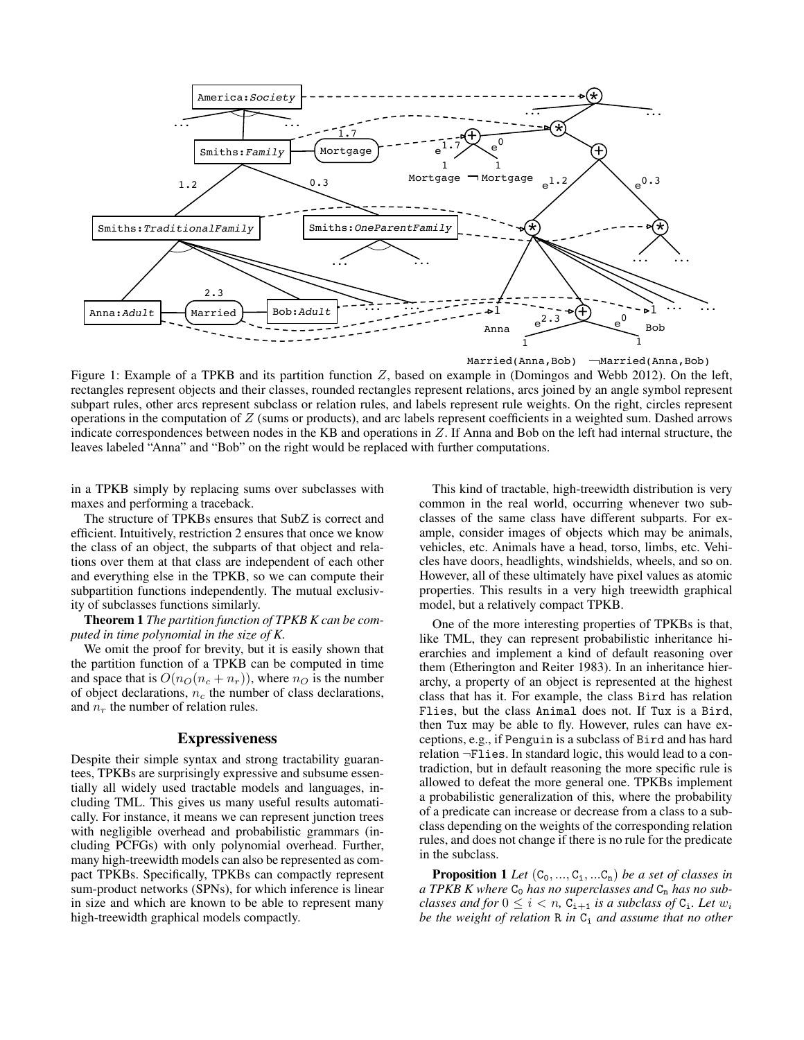

Married(Anna,Bob)  $\Box$ Married(Anna,Bob)

Figure 1: Example of a TPKB and its partition function Z, based on example in (Domingos and Webb 2012). On the left, rectangles represent objects and their classes, rounded rectangles represent relations, arcs joined by an angle symbol represent subpart rules, other arcs represent subclass or relation rules, and labels represent rule weights. On the right, circles represent operations in the computation of  $Z$  (sums or products), and arc labels represent coefficients in a weighted sum. Dashed arrows indicate correspondences between nodes in the KB and operations in Z. If Anna and Bob on the left had internal structure, the leaves labeled "Anna" and "Bob" on the right would be replaced with further computations.

in a TPKB simply by replacing sums over subclasses with maxes and performing a traceback.

The structure of TPKBs ensures that SubZ is correct and efficient. Intuitively, restriction 2 ensures that once we know the class of an object, the subparts of that object and relations over them at that class are independent of each other and everything else in the TPKB, so we can compute their subpartition functions independently. The mutual exclusivity of subclasses functions similarly.

Theorem 1 *The partition function of TPKB K can be computed in time polynomial in the size of K.*

We omit the proof for brevity, but it is easily shown that the partition function of a TPKB can be computed in time and space that is  $O(n<sub>O</sub>(n<sub>c</sub> + n<sub>r</sub>))$ , where  $n<sub>O</sub>$  is the number of object declarations,  $n_c$  the number of class declarations, and  $n_r$  the number of relation rules.

### Expressiveness

Despite their simple syntax and strong tractability guarantees, TPKBs are surprisingly expressive and subsume essentially all widely used tractable models and languages, including TML. This gives us many useful results automatically. For instance, it means we can represent junction trees with negligible overhead and probabilistic grammars (including PCFGs) with only polynomial overhead. Further, many high-treewidth models can also be represented as compact TPKBs. Specifically, TPKBs can compactly represent sum-product networks (SPNs), for which inference is linear in size and which are known to be able to represent many high-treewidth graphical models compactly.

This kind of tractable, high-treewidth distribution is very common in the real world, occurring whenever two subclasses of the same class have different subparts. For example, consider images of objects which may be animals, vehicles, etc. Animals have a head, torso, limbs, etc. Vehicles have doors, headlights, windshields, wheels, and so on. However, all of these ultimately have pixel values as atomic properties. This results in a very high treewidth graphical model, but a relatively compact TPKB.

One of the more interesting properties of TPKBs is that, like TML, they can represent probabilistic inheritance hierarchies and implement a kind of default reasoning over them (Etherington and Reiter 1983). In an inheritance hierarchy, a property of an object is represented at the highest class that has it. For example, the class Bird has relation Flies, but the class Animal does not. If Tux is a Bird, then Tux may be able to fly. However, rules can have exceptions, e.g., if Penguin is a subclass of Bird and has hard relation ¬Flies. In standard logic, this would lead to a contradiction, but in default reasoning the more specific rule is allowed to defeat the more general one. TPKBs implement a probabilistic generalization of this, where the probability of a predicate can increase or decrease from a class to a subclass depending on the weights of the corresponding relation rules, and does not change if there is no rule for the predicate in the subclass.

**Proposition 1** *Let*  $(C_0, ..., C_i, ...C_n)$  *be a set of classes in* a TPKB K where  $C_0$  has no superclasses and  $C_n$  has no sub*classes and for*  $0 \le i < n$ ,  $C_{i+1}$  *is a subclass of*  $C_i$ *. Let*  $w_i$ *be the weight of relation* R *in*  $C_i$  *and assume that no other*